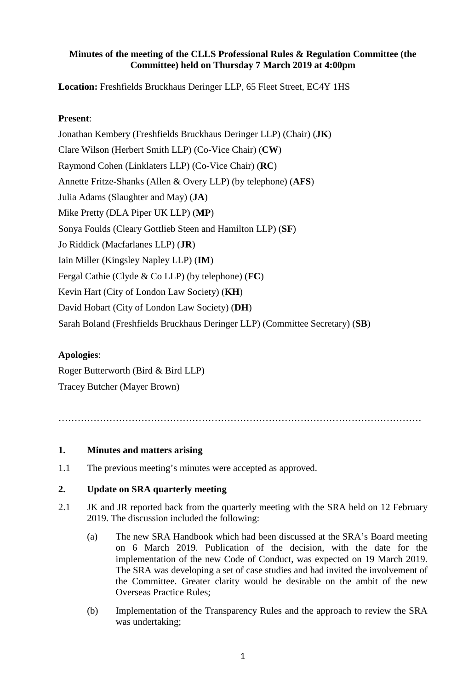## **Minutes of the meeting of the CLLS Professional Rules & Regulation Committee (the Committee) held on Thursday 7 March 2019 at 4:00pm**

**Location:** Freshfields Bruckhaus Deringer LLP, 65 Fleet Street, EC4Y 1HS

## **Present**:

Jonathan Kembery (Freshfields Bruckhaus Deringer LLP) (Chair) (**JK**) Clare Wilson (Herbert Smith LLP) (Co-Vice Chair) (**CW**) Raymond Cohen (Linklaters LLP) (Co-Vice Chair) (**RC**) Annette Fritze-Shanks (Allen & Overy LLP) (by telephone) (**AFS**) Julia Adams (Slaughter and May) (**JA**) Mike Pretty (DLA Piper UK LLP) (**MP**) Sonya Foulds (Cleary Gottlieb Steen and Hamilton LLP) (**SF**) Jo Riddick (Macfarlanes LLP) (**JR**) Iain Miller (Kingsley Napley LLP) (**IM**) Fergal Cathie (Clyde & Co LLP) (by telephone) (**FC**) Kevin Hart (City of London Law Society) (**KH**) David Hobart (City of London Law Society) (**DH**) Sarah Boland (Freshfields Bruckhaus Deringer LLP) (Committee Secretary) (**SB**)

# **Apologies**:

Roger Butterworth (Bird & Bird LLP) Tracey Butcher (Mayer Brown)

……………………………………………………………………………………………………

# **1. Minutes and matters arising**

1.1 The previous meeting's minutes were accepted as approved.

### **2. Update on SRA quarterly meeting**

- 2.1 JK and JR reported back from the quarterly meeting with the SRA held on 12 February 2019. The discussion included the following:
	- (a) The new SRA Handbook which had been discussed at the SRA's Board meeting on 6 March 2019. Publication of the decision, with the date for the implementation of the new Code of Conduct, was expected on 19 March 2019. The SRA was developing a set of case studies and had invited the involvement of the Committee. Greater clarity would be desirable on the ambit of the new Overseas Practice Rules;
	- (b) Implementation of the Transparency Rules and the approach to review the SRA was undertaking;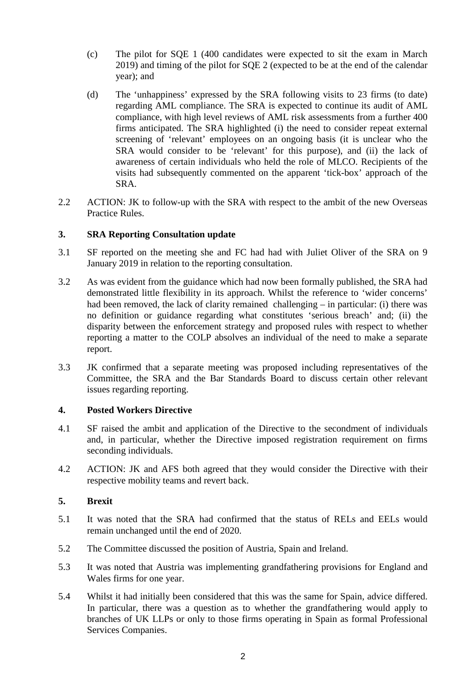- (c) The pilot for SQE 1 (400 candidates were expected to sit the exam in March 2019) and timing of the pilot for SQE 2 (expected to be at the end of the calendar year); and
- (d) The 'unhappiness' expressed by the SRA following visits to 23 firms (to date) regarding AML compliance. The SRA is expected to continue its audit of AML compliance, with high level reviews of AML risk assessments from a further 400 firms anticipated. The SRA highlighted (i) the need to consider repeat external screening of 'relevant' employees on an ongoing basis (it is unclear who the SRA would consider to be 'relevant' for this purpose), and (ii) the lack of awareness of certain individuals who held the role of MLCO. Recipients of the visits had subsequently commented on the apparent 'tick-box' approach of the SRA.
- 2.2 ACTION: JK to follow-up with the SRA with respect to the ambit of the new Overseas Practice Rules.

### **3. SRA Reporting Consultation update**

- 3.1 SF reported on the meeting she and FC had had with Juliet Oliver of the SRA on 9 January 2019 in relation to the reporting consultation.
- 3.2 As was evident from the guidance which had now been formally published, the SRA had demonstrated little flexibility in its approach. Whilst the reference to 'wider concerns' had been removed, the lack of clarity remained challenging – in particular: (i) there was no definition or guidance regarding what constitutes 'serious breach' and; (ii) the disparity between the enforcement strategy and proposed rules with respect to whether reporting a matter to the COLP absolves an individual of the need to make a separate report.
- 3.3 JK confirmed that a separate meeting was proposed including representatives of the Committee, the SRA and the Bar Standards Board to discuss certain other relevant issues regarding reporting.

### **4. Posted Workers Directive**

- 4.1 SF raised the ambit and application of the Directive to the secondment of individuals and, in particular, whether the Directive imposed registration requirement on firms seconding individuals.
- 4.2 ACTION: JK and AFS both agreed that they would consider the Directive with their respective mobility teams and revert back.

# **5. Brexit**

- 5.1 It was noted that the SRA had confirmed that the status of RELs and EELs would remain unchanged until the end of 2020.
- 5.2 The Committee discussed the position of Austria, Spain and Ireland.
- 5.3 It was noted that Austria was implementing grandfathering provisions for England and Wales firms for one year.
- 5.4 Whilst it had initially been considered that this was the same for Spain, advice differed. In particular, there was a question as to whether the grandfathering would apply to branches of UK LLPs or only to those firms operating in Spain as formal Professional Services Companies.